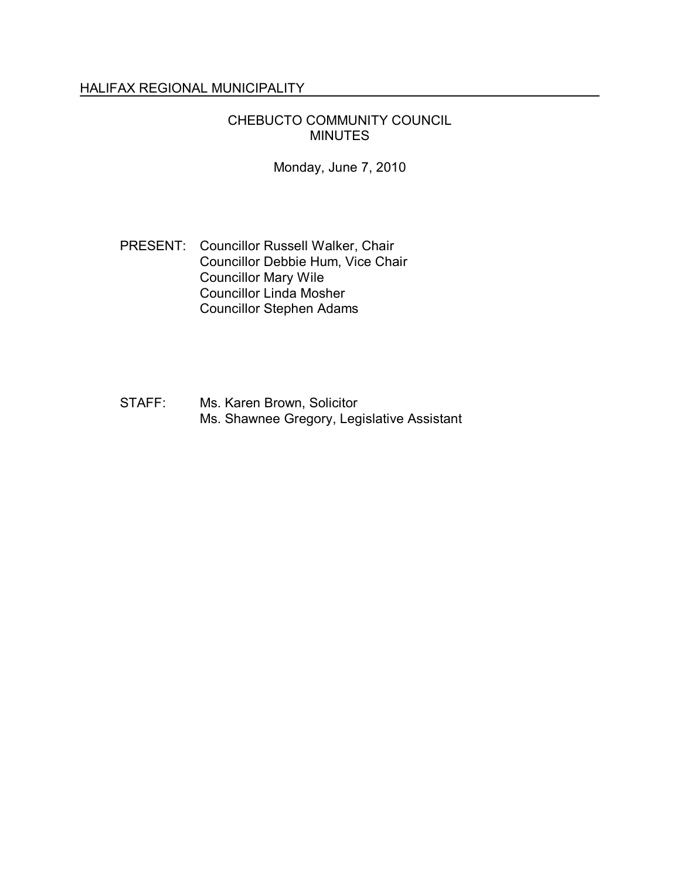# HALIFAX REGIONAL MUNICIPALITY

## CHEBUCTO COMMUNITY COUNCIL MINUTES

Monday, June 7, 2010

- PRESENT: Councillor Russell Walker, Chair Councillor Debbie Hum, Vice Chair Councillor Mary Wile Councillor Linda Mosher Councillor Stephen Adams
- STAFF: Ms. Karen Brown, Solicitor Ms. Shawnee Gregory, Legislative Assistant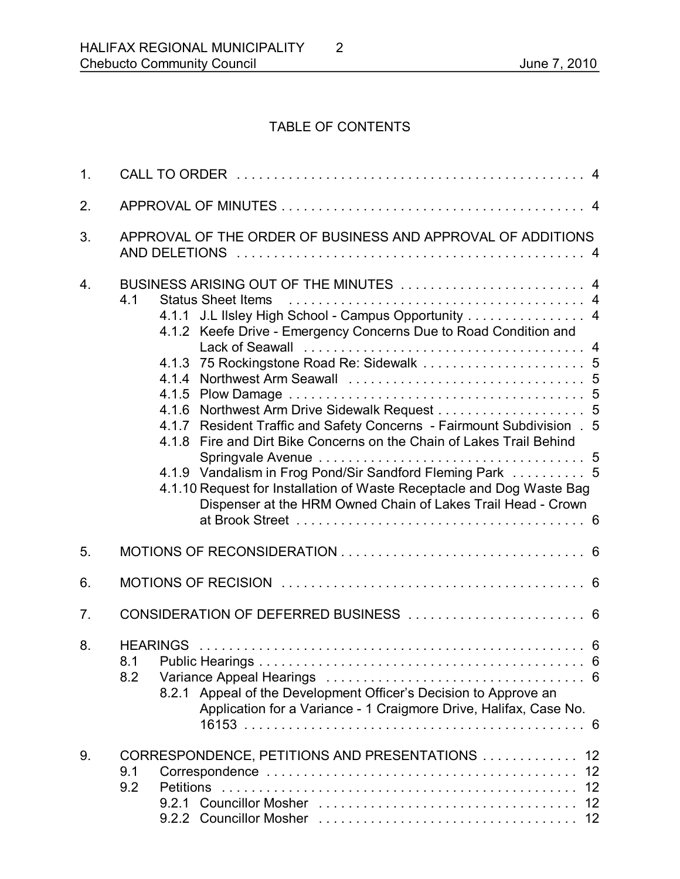# TABLE OF CONTENTS

| 1.               |                                                                                                                                                                                                                                                                                                                                                                                                                                                                                                                                                                                                                                      |  |  |  |
|------------------|--------------------------------------------------------------------------------------------------------------------------------------------------------------------------------------------------------------------------------------------------------------------------------------------------------------------------------------------------------------------------------------------------------------------------------------------------------------------------------------------------------------------------------------------------------------------------------------------------------------------------------------|--|--|--|
| 2.               |                                                                                                                                                                                                                                                                                                                                                                                                                                                                                                                                                                                                                                      |  |  |  |
| 3.               | APPROVAL OF THE ORDER OF BUSINESS AND APPROVAL OF ADDITIONS                                                                                                                                                                                                                                                                                                                                                                                                                                                                                                                                                                          |  |  |  |
| $\overline{4}$ . | BUSINESS ARISING OUT OF THE MINUTES  4<br>4.1<br>4.1.1 J.L IIsley High School - Campus Opportunity 4<br>4.1.2 Keefe Drive - Emergency Concerns Due to Road Condition and<br>4.1.3 75 Rockingstone Road Re: Sidewalk  5<br>4.1.6 Northwest Arm Drive Sidewalk Request 5<br>Resident Traffic and Safety Concerns - Fairmount Subdivision .<br>5<br>4.1.7<br>4.1.8 Fire and Dirt Bike Concerns on the Chain of Lakes Trail Behind<br>4.1.9 Vandalism in Frog Pond/Sir Sandford Fleming Park  5<br>4.1.10 Request for Installation of Waste Receptacle and Dog Waste Bag<br>Dispenser at the HRM Owned Chain of Lakes Trail Head - Crown |  |  |  |
| 5.               |                                                                                                                                                                                                                                                                                                                                                                                                                                                                                                                                                                                                                                      |  |  |  |
| 6.               |                                                                                                                                                                                                                                                                                                                                                                                                                                                                                                                                                                                                                                      |  |  |  |
| 7.               | CONSIDERATION OF DEFERRED BUSINESS  6                                                                                                                                                                                                                                                                                                                                                                                                                                                                                                                                                                                                |  |  |  |
| 8.               | 8.2<br>8.2.1 Appeal of the Development Officer's Decision to Approve an<br>Application for a Variance - 1 Craigmore Drive, Halifax, Case No.                                                                                                                                                                                                                                                                                                                                                                                                                                                                                         |  |  |  |
| 9.               | CORRESPONDENCE, PETITIONS AND PRESENTATIONS  12<br>12<br>9.1<br>9.2<br>12                                                                                                                                                                                                                                                                                                                                                                                                                                                                                                                                                            |  |  |  |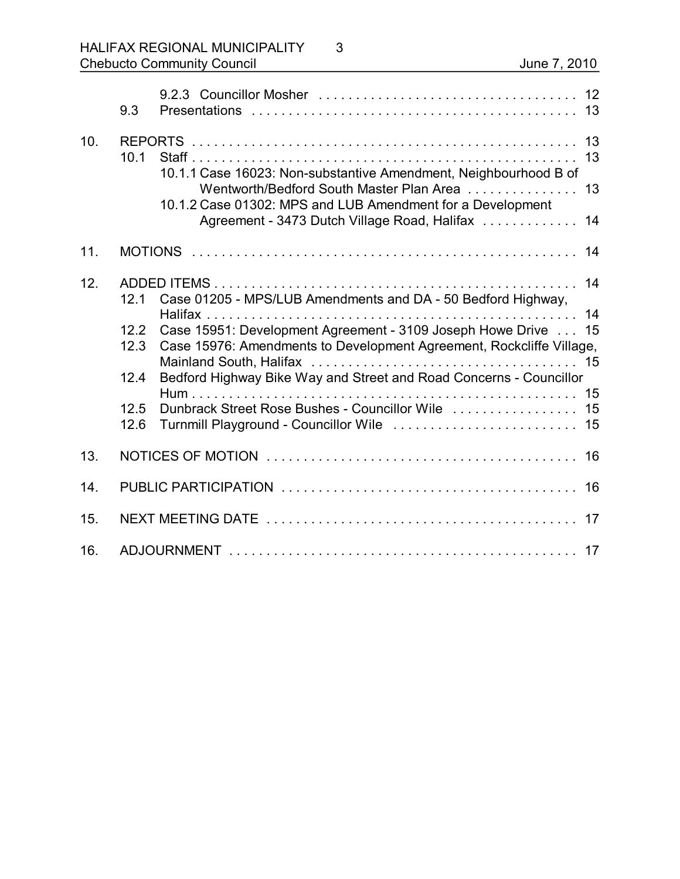|     | 9.3                                          |                                                                                                                                                                                                                                                                                                                                  |    |  |
|-----|----------------------------------------------|----------------------------------------------------------------------------------------------------------------------------------------------------------------------------------------------------------------------------------------------------------------------------------------------------------------------------------|----|--|
| 10. | 10.1                                         | 10.1.1 Case 16023: Non-substantive Amendment, Neighbourhood B of<br>Wentworth/Bedford South Master Plan Area<br>10.1.2 Case 01302: MPS and LUB Amendment for a Development<br>Agreement - 3473 Dutch Village Road, Halifax  14                                                                                                   | 13 |  |
| 11. |                                              |                                                                                                                                                                                                                                                                                                                                  | 14 |  |
| 12. | 12.1<br>12.2<br>12.3<br>12.4<br>12.5<br>12.6 | Case 01205 - MPS/LUB Amendments and DA - 50 Bedford Highway,<br>Case 15951: Development Agreement - 3109 Joseph Howe Drive 15<br>Case 15976: Amendments to Development Agreement, Rockcliffe Village,<br>Bedford Highway Bike Way and Street and Road Concerns - Councillor<br>Dunbrack Street Rose Bushes - Councillor Wile  15 |    |  |
| 13. |                                              |                                                                                                                                                                                                                                                                                                                                  |    |  |
| 14. |                                              |                                                                                                                                                                                                                                                                                                                                  |    |  |
| 15. |                                              |                                                                                                                                                                                                                                                                                                                                  |    |  |
| 16. |                                              |                                                                                                                                                                                                                                                                                                                                  |    |  |

3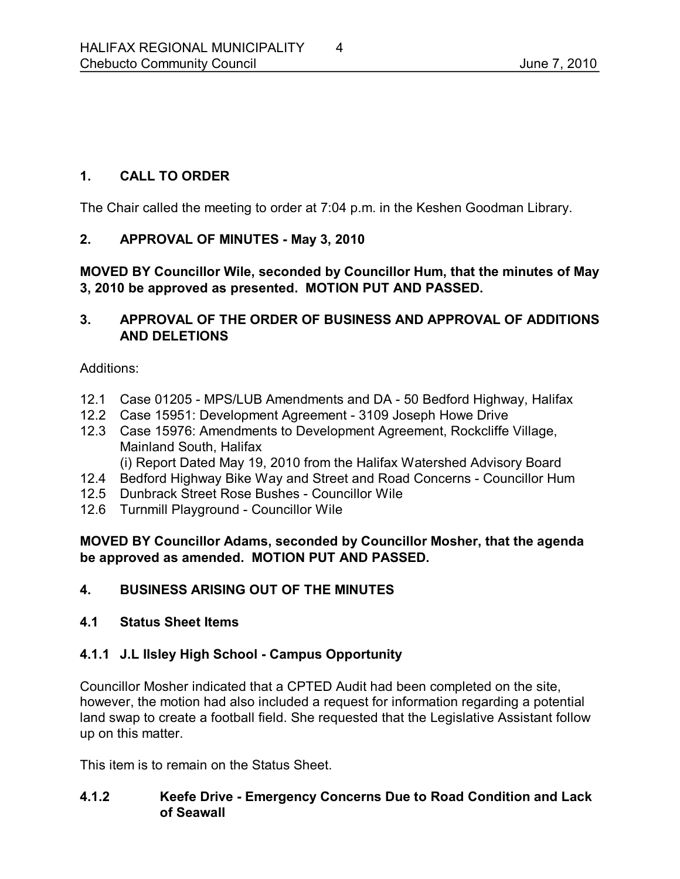# **1. CALL TO ORDER**

The Chair called the meeting to order at 7:04 p.m. in the Keshen Goodman Library.

## 2. **APPROVAL OF MINUTES - May 3, 2010**

**MOVED BY Councillor Wile, seconded by Councillor Hum, that the minutes of May 3, 2010 be approved as presented. MOTION PUT AND PASSED.** 

## **3. APPROVAL OF THE ORDER OF BUSINESS AND APPROVAL OF ADDITIONS AND DELETIONS**

Additions:

- 12.1 Case 01205 MPS/LUB Amendments and DA 50 Bedford Highway, Halifax
- 12.2 Case 15951: Development Agreement 3109 Joseph Howe Drive
- 12.3 Case 15976: Amendments to Development Agreement, Rockcliffe Village, Mainland South, Halifax

(i) Report Dated May 19, 2010 from the Halifax Watershed Advisory Board

- 12.4 Bedford Highway Bike Way and Street and Road Concerns Councillor Hum
- 12.5 Dunbrack Street Rose Bushes Councillor Wile
- 12.6 Turnmill Playground Councillor Wile

**MOVED BY Councillor Adams, seconded by Councillor Mosher, that the agenda be approved as amended. MOTION PUT AND PASSED.** 

**4. BUSINESS ARISING OUT OF THE MINUTES**

#### **4.1 Status Sheet Items**

# **4.1.1 J.L Ilsley High School Campus Opportunity**

Councillor Mosher indicated that a CPTED Audit had been completed on the site, however, the motion had also included a request for information regarding a potential land swap to create a football field. She requested that the Legislative Assistant follow up on this matter.

This item is to remain on the Status Sheet.

# **4.1.2 Keefe Drive Emergency Concerns Due to Road Condition and Lack of Seawall**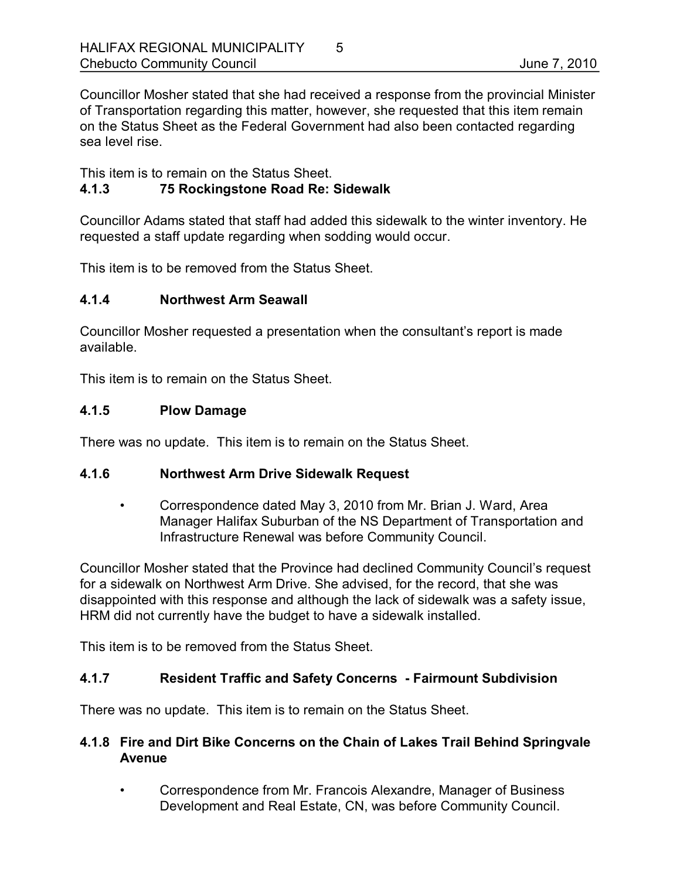Councillor Mosher stated that she had received a response from the provincial Minister of Transportation regarding this matter, however, she requested that this item remain on the Status Sheet as the Federal Government had also been contacted regarding sea level rise.

This item is to remain on the Status Sheet.

# **4.1.3 75 Rockingstone Road Re: Sidewalk**

Councillor Adams stated that staff had added this sidewalk to the winter inventory. He requested a staff update regarding when sodding would occur.

This item is to be removed from the Status Sheet.

## **4.1.4 Northwest Arm Seawall**

Councillor Mosher requested a presentation when the consultant's report is made available.

This item is to remain on the Status Sheet.

## **4.1.5 Plow Damage**

There was no update. This item is to remain on the Status Sheet.

#### **4.1.6 Northwest Arm Drive Sidewalk Request**

• Correspondence dated May 3, 2010 from Mr. Brian J. Ward, Area Manager Halifax Suburban of the NS Department of Transportation and Infrastructure Renewal was before Community Council.

Councillor Mosher stated that the Province had declined Community Council's request for a sidewalk on Northwest Arm Drive. She advised, for the record, that she was disappointed with this response and although the lack of sidewalk was a safety issue, HRM did not currently have the budget to have a sidewalk installed.

This item is to be removed from the Status Sheet.

# **4.1.7 Resident Traffic and Safety Concerns Fairmount Subdivision**

There was no update. This item is to remain on the Status Sheet.

## **4.1.8 Fire and Dirt Bike Concerns on the Chain of Lakes Trail Behind Springvale Avenue**

• Correspondence from Mr. Francois Alexandre, Manager of Business Development and Real Estate, CN, was before Community Council.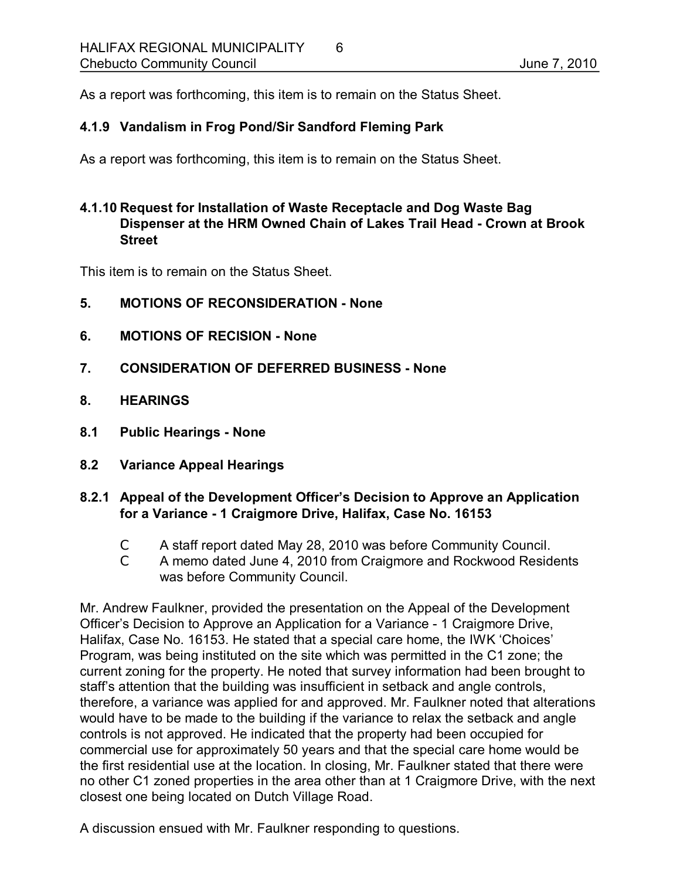As a report was forthcoming, this item is to remain on the Status Sheet.

# **4.1.9 Vandalism in Frog Pond/Sir Sandford Fleming Park**

As a report was forthcoming, this item is to remain on the Status Sheet.

## **4.1.10 Request for Installation of Waste Receptacle and Dog Waste Bag Dispenser at the HRM Owned Chain of Lakes Trail Head Crown at Brook Street**

This item is to remain on the Status Sheet.

- **5. MOTIONS OF RECONSIDERATION None**
- **6. MOTIONS OF RECISION None**
- **7. CONSIDERATION OF DEFERRED BUSINESS None**
- **8. HEARINGS**
- **8.1 Public Hearings None**
- **8.2 Variance Appeal Hearings**
- **8.2.1 Appeal of the Development Officer's Decision to Approve an Application for a Variance 1 Craigmore Drive, Halifax, Case No. 16153**
	- C A staff report dated May 28, 2010 was before Community Council.
	- C A memo dated June 4, 2010 from Craigmore and Rockwood Residents was before Community Council.

Mr. Andrew Faulkner, provided the presentation on the Appeal of the Development Officer's Decision to Approve an Application for a Variance 1 Craigmore Drive, Halifax, Case No. 16153. He stated that a special care home, the IWK 'Choices' Program, was being instituted on the site which was permitted in the C1 zone; the current zoning for the property. He noted that survey information had been brought to staff's attention that the building was insufficient in setback and angle controls, therefore, a variance was applied for and approved. Mr. Faulkner noted that alterations would have to be made to the building if the variance to relax the setback and angle controls is not approved. He indicated that the property had been occupied for commercial use for approximately 50 years and that the special care home would be the first residential use at the location. In closing, Mr. Faulkner stated that there were no other C1 zoned properties in the area other than at 1 Craigmore Drive, with the next closest one being located on Dutch Village Road.

A discussion ensued with Mr. Faulkner responding to questions.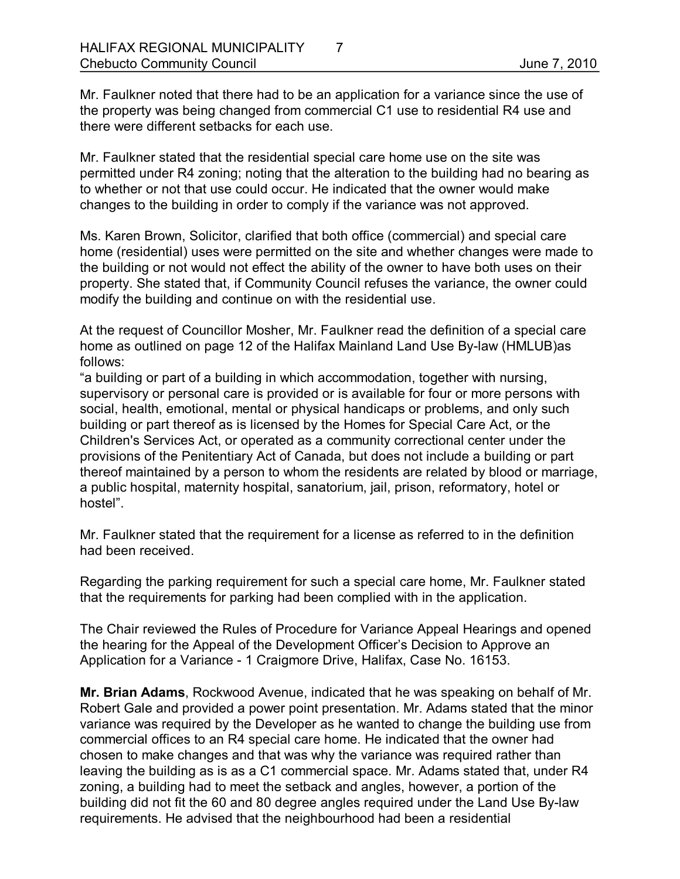Mr. Faulkner noted that there had to be an application for a variance since the use of the property was being changed from commercial C1 use to residential R4 use and there were different setbacks for each use.

Mr. Faulkner stated that the residential special care home use on the site was permitted under R4 zoning; noting that the alteration to the building had no bearing as to whether or not that use could occur. He indicated that the owner would make changes to the building in order to comply if the variance was not approved.

Ms. Karen Brown, Solicitor, clarified that both office (commercial) and special care home (residential) uses were permitted on the site and whether changes were made to the building or not would not effect the ability of the owner to have both uses on their property. She stated that, if Community Council refuses the variance, the owner could modify the building and continue on with the residential use.

At the request of Councillor Mosher, Mr. Faulkner read the definition of a special care home as outlined on page 12 of the Halifax Mainland Land Use By-law (HMLUB)as follows:

"a building or part of a building in which accommodation, together with nursing, supervisory or personal care is provided or is available for four or more persons with social, health, emotional, mental or physical handicaps or problems, and only such building or part thereof as is licensed by the Homes for Special Care Act, or the Children's Services Act, or operated as a community correctional center under the provisions of the Penitentiary Act of Canada, but does not include a building or part thereof maintained by a person to whom the residents are related by blood or marriage, a public hospital, maternity hospital, sanatorium, jail, prison, reformatory, hotel or hostel".

Mr. Faulkner stated that the requirement for a license as referred to in the definition had been received.

Regarding the parking requirement for such a special care home, Mr. Faulkner stated that the requirements for parking had been complied with in the application.

The Chair reviewed the Rules of Procedure for Variance Appeal Hearings and opened the hearing for the Appeal of the Development Officer's Decision to Approve an Application for a Variance - 1 Craigmore Drive, Halifax, Case No. 16153.

**Mr. Brian Adams**, Rockwood Avenue, indicated that he was speaking on behalf of Mr. Robert Gale and provided a power point presentation. Mr. Adams stated that the minor variance was required by the Developer as he wanted to change the building use from commercial offices to an R4 special care home. He indicated that the owner had chosen to make changes and that was why the variance was required rather than leaving the building as is as a C1 commercial space. Mr. Adams stated that, under R4 zoning, a building had to meet the setback and angles, however, a portion of the building did not fit the 60 and 80 degree angles required under the Land Use By-law requirements. He advised that the neighbourhood had been a residential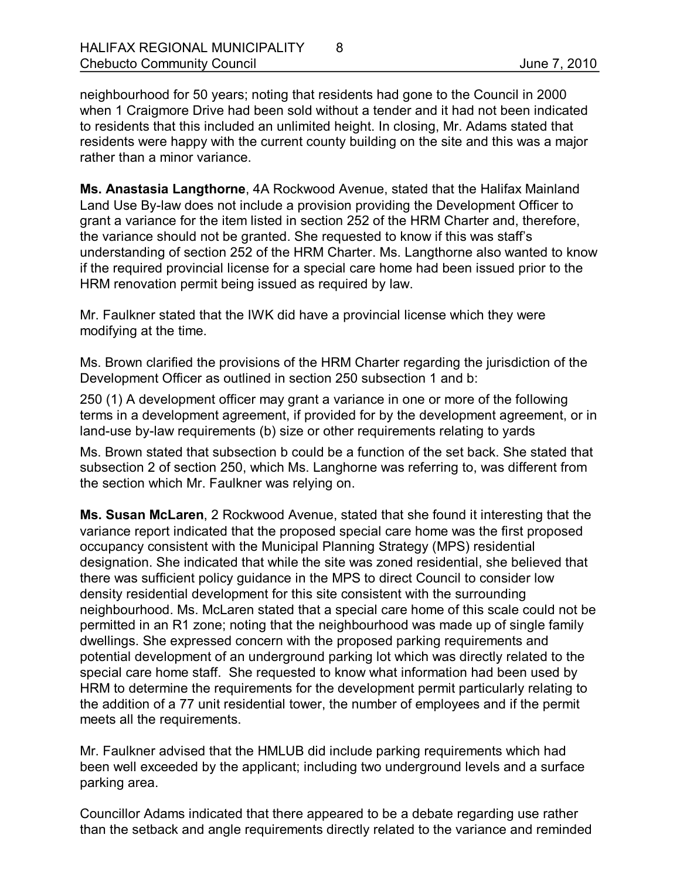neighbourhood for 50 years; noting that residents had gone to the Council in 2000 when 1 Craigmore Drive had been sold without a tender and it had not been indicated to residents that this included an unlimited height. In closing, Mr. Adams stated that residents were happy with the current county building on the site and this was a major rather than a minor variance.

**Ms. Anastasia Langthorne**, 4A Rockwood Avenue, stated that the Halifax Mainland Land Use By-law does not include a provision providing the Development Officer to grant a variance for the item listed in section 252 of the HRM Charter and, therefore, the variance should not be granted. She requested to know if this was staff's understanding of section 252 of the HRM Charter. Ms. Langthorne also wanted to know if the required provincial license for a special care home had been issued prior to the HRM renovation permit being issued as required by law.

Mr. Faulkner stated that the IWK did have a provincial license which they were modifying at the time.

Ms. Brown clarified the provisions of the HRM Charter regarding the jurisdiction of the Development Officer as outlined in section 250 subsection 1 and b:

250 (1) A development officer may grant a variance in one or more of the following terms in a development agreement, if provided for by the development agreement, or in land-use by-law requirements (b) size or other requirements relating to yards

Ms. Brown stated that subsection b could be a function of the set back. She stated that subsection 2 of section 250, which Ms. Langhorne was referring to, was different from the section which Mr. Faulkner was relying on.

**Ms. Susan McLaren**, 2 Rockwood Avenue, stated that she found it interesting that the variance report indicated that the proposed special care home was the first proposed occupancy consistent with the Municipal Planning Strategy (MPS) residential designation. She indicated that while the site was zoned residential, she believed that there was sufficient policy guidance in the MPS to direct Council to consider low density residential development for this site consistent with the surrounding neighbourhood. Ms. McLaren stated that a special care home of this scale could not be permitted in an R1 zone; noting that the neighbourhood was made up of single family dwellings. She expressed concern with the proposed parking requirements and potential development of an underground parking lot which was directly related to the special care home staff. She requested to know what information had been used by HRM to determine the requirements for the development permit particularly relating to the addition of a 77 unit residential tower, the number of employees and if the permit meets all the requirements.

Mr. Faulkner advised that the HMLUB did include parking requirements which had been well exceeded by the applicant; including two underground levels and a surface parking area.

Councillor Adams indicated that there appeared to be a debate regarding use rather than the setback and angle requirements directly related to the variance and reminded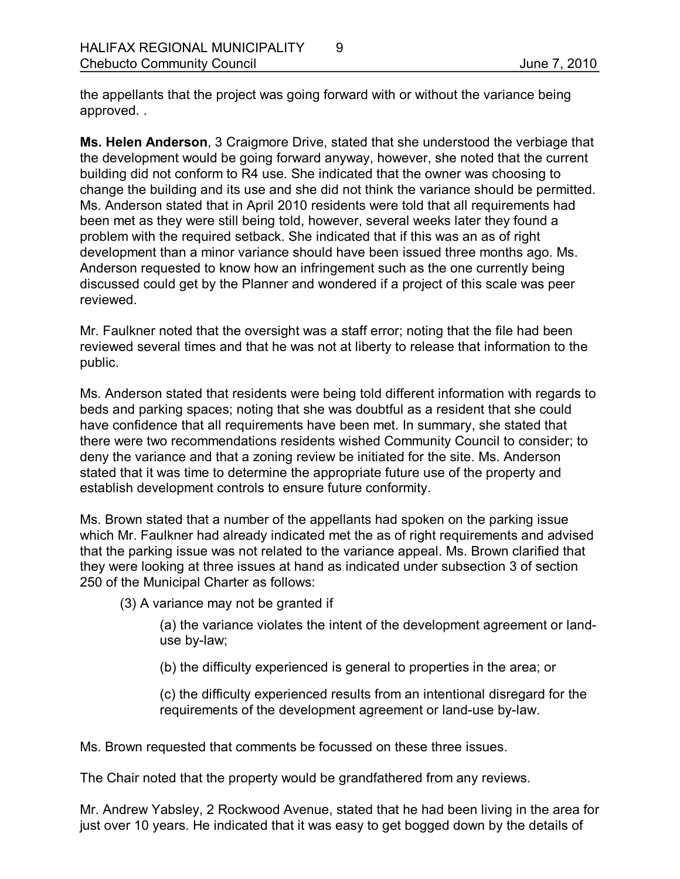the appellants that the project was going forward with or without the variance being approved. .

**Ms. Helen Anderson**, 3 Craigmore Drive, stated that she understood the verbiage that the development would be going forward anyway, however, she noted that the current building did not conform to R4 use. She indicated that the owner was choosing to change the building and its use and she did not think the variance should be permitted. Ms. Anderson stated that in April 2010 residents were told that all requirements had been met as they were still being told, however, several weeks later they found a problem with the required setback. She indicated that if this was an as of right development than a minor variance should have been issued three months ago. Ms. Anderson requested to know how an infringement such as the one currently being discussed could get by the Planner and wondered if a project of this scale was peer reviewed.

Mr. Faulkner noted that the oversight was a staff error; noting that the file had been reviewed several times and that he was not at liberty to release that information to the public.

Ms. Anderson stated that residents were being told different information with regards to beds and parking spaces; noting that she was doubtful as a resident that she could have confidence that all requirements have been met. In summary, she stated that there were two recommendations residents wished Community Council to consider; to deny the variance and that a zoning review be initiated for the site. Ms. Anderson stated that it was time to determine the appropriate future use of the property and establish development controls to ensure future conformity.

Ms. Brown stated that a number of the appellants had spoken on the parking issue which Mr. Faulkner had already indicated met the as of right requirements and advised that the parking issue was not related to the variance appeal. Ms. Brown clarified that they were looking at three issues at hand as indicated under subsection 3 of section 250 of the Municipal Charter as follows:

(3) A variance may not be granted if

(a) the variance violates the intent of the development agreement or landuse by-law;

(b) the difficulty experienced is general to properties in the area; or

(c) the difficulty experienced results from an intentional disregard for the requirements of the development agreement or land-use by-law.

Ms. Brown requested that comments be focussed on these three issues.

The Chair noted that the property would be grandfathered from any reviews.

Mr. Andrew Yabsley, 2 Rockwood Avenue, stated that he had been living in the area for just over 10 years. He indicated that it was easy to get bogged down by the details of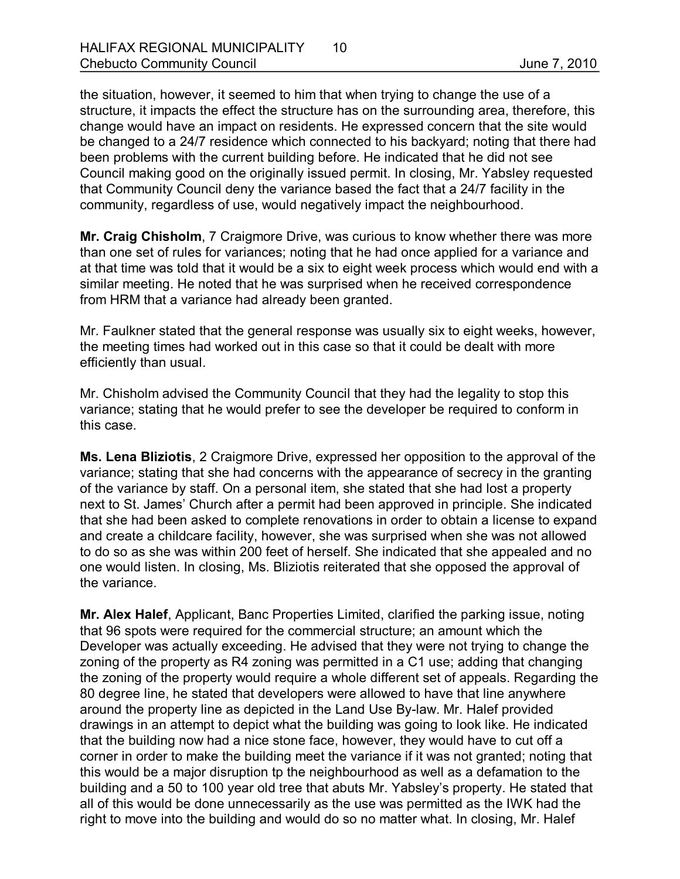the situation, however, it seemed to him that when trying to change the use of a structure, it impacts the effect the structure has on the surrounding area, therefore, this change would have an impact on residents. He expressed concern that the site would be changed to a 24/7 residence which connected to his backyard; noting that there had been problems with the current building before. He indicated that he did not see Council making good on the originally issued permit. In closing, Mr. Yabsley requested that Community Council deny the variance based the fact that a 24/7 facility in the community, regardless of use, would negatively impact the neighbourhood.

**Mr. Craig Chisholm**, 7 Craigmore Drive, was curious to know whether there was more than one set of rules for variances; noting that he had once applied for a variance and at that time was told that it would be a six to eight week process which would end with a similar meeting. He noted that he was surprised when he received correspondence from HRM that a variance had already been granted.

Mr. Faulkner stated that the general response was usually six to eight weeks, however, the meeting times had worked out in this case so that it could be dealt with more efficiently than usual.

Mr. Chisholm advised the Community Council that they had the legality to stop this variance; stating that he would prefer to see the developer be required to conform in this case.

**Ms. Lena Bliziotis**, 2 Craigmore Drive, expressed her opposition to the approval of the variance; stating that she had concerns with the appearance of secrecy in the granting of the variance by staff. On a personal item, she stated that she had lost a property next to St. James' Church after a permit had been approved in principle. She indicated that she had been asked to complete renovations in order to obtain a license to expand and create a childcare facility, however, she was surprised when she was not allowed to do so as she was within 200 feet of herself. She indicated that she appealed and no one would listen. In closing, Ms. Bliziotis reiterated that she opposed the approval of the variance.

**Mr. Alex Halef**, Applicant, Banc Properties Limited, clarified the parking issue, noting that 96 spots were required for the commercial structure; an amount which the Developer was actually exceeding. He advised that they were not trying to change the zoning of the property as R4 zoning was permitted in a C1 use; adding that changing the zoning of the property would require a whole different set of appeals. Regarding the 80 degree line, he stated that developers were allowed to have that line anywhere around the property line as depicted in the Land Use By-law. Mr. Halef provided drawings in an attempt to depict what the building was going to look like. He indicated that the building now had a nice stone face, however, they would have to cut off a corner in order to make the building meet the variance if it was not granted; noting that this would be a major disruption tp the neighbourhood as well as a defamation to the building and a 50 to 100 year old tree that abuts Mr. Yabsley's property. He stated that all of this would be done unnecessarily as the use was permitted as the IWK had the right to move into the building and would do so no matter what. In closing, Mr. Halef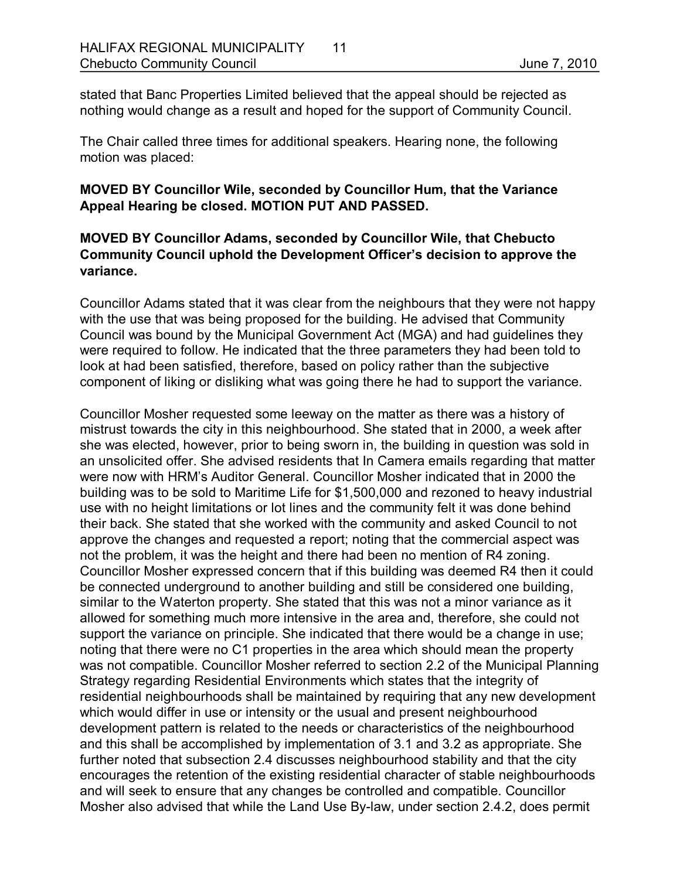stated that Banc Properties Limited believed that the appeal should be rejected as nothing would change as a result and hoped for the support of Community Council.

The Chair called three times for additional speakers. Hearing none, the following motion was placed:

## **MOVED BY Councillor Wile, seconded by Councillor Hum, that the Variance Appeal Hearing be closed. MOTION PUT AND PASSED.**

## **MOVED BY Councillor Adams, seconded by Councillor Wile, that Chebucto Community Council uphold the Development Officer's decision to approve the variance.**

Councillor Adams stated that it was clear from the neighbours that they were not happy with the use that was being proposed for the building. He advised that Community Council was bound by the Municipal Government Act (MGA) and had guidelines they were required to follow. He indicated that the three parameters they had been told to look at had been satisfied, therefore, based on policy rather than the subjective component of liking or disliking what was going there he had to support the variance.

Councillor Mosher requested some leeway on the matter as there was a history of mistrust towards the city in this neighbourhood. She stated that in 2000, a week after she was elected, however, prior to being sworn in, the building in question was sold in an unsolicited offer. She advised residents that In Camera emails regarding that matter were now with HRM's Auditor General. Councillor Mosher indicated that in 2000 the building was to be sold to Maritime Life for \$1,500,000 and rezoned to heavy industrial use with no height limitations or lot lines and the community felt it was done behind their back. She stated that she worked with the community and asked Council to not approve the changes and requested a report; noting that the commercial aspect was not the problem, it was the height and there had been no mention of R4 zoning. Councillor Mosher expressed concern that if this building was deemed R4 then it could be connected underground to another building and still be considered one building, similar to the Waterton property. She stated that this was not a minor variance as it allowed for something much more intensive in the area and, therefore, she could not support the variance on principle. She indicated that there would be a change in use; noting that there were no C1 properties in the area which should mean the property was not compatible. Councillor Mosher referred to section 2.2 of the Municipal Planning Strategy regarding Residential Environments which states that the integrity of residential neighbourhoods shall be maintained by requiring that any new development which would differ in use or intensity or the usual and present neighbourhood development pattern is related to the needs or characteristics of the neighbourhood and this shall be accomplished by implementation of 3.1 and 3.2 as appropriate. She further noted that subsection 2.4 discusses neighbourhood stability and that the city encourages the retention of the existing residential character of stable neighbourhoods and will seek to ensure that any changes be controlled and compatible. Councillor Mosher also advised that while the Land Use By-law, under section 2.4.2, does permit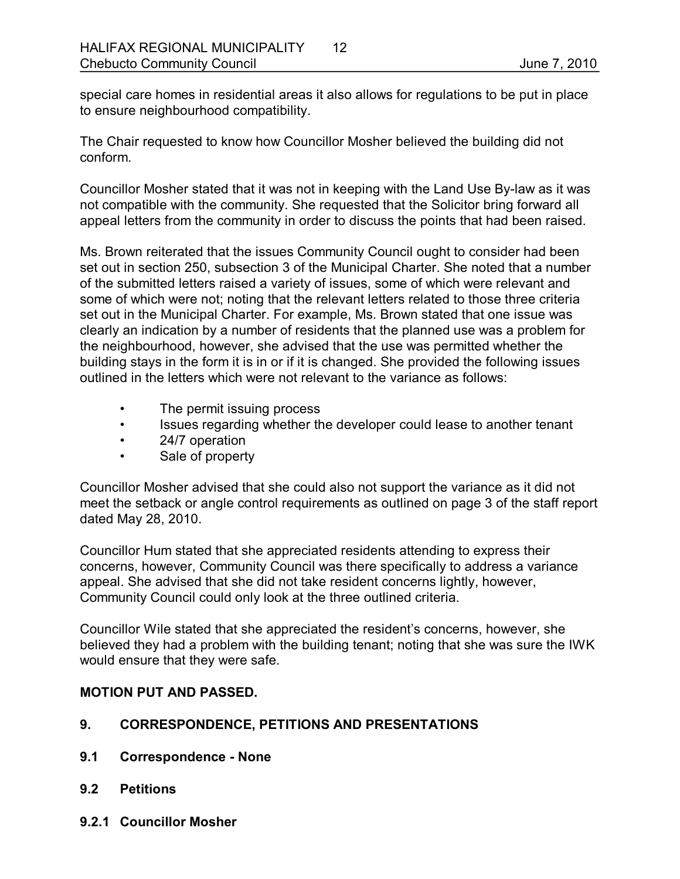special care homes in residential areas it also allows for regulations to be put in place to ensure neighbourhood compatibility.

The Chair requested to know how Councillor Mosher believed the building did not conform.

Councillor Mosher stated that it was not in keeping with the Land Use By-law as it was not compatible with the community. She requested that the Solicitor bring forward all appeal letters from the community in order to discuss the points that had been raised.

Ms. Brown reiterated that the issues Community Council ought to consider had been set out in section 250, subsection 3 of the Municipal Charter. She noted that a number of the submitted letters raised a variety of issues, some of which were relevant and some of which were not; noting that the relevant letters related to those three criteria set out in the Municipal Charter. For example, Ms. Brown stated that one issue was clearly an indication by a number of residents that the planned use was a problem for the neighbourhood, however, she advised that the use was permitted whether the building stays in the form it is in or if it is changed. She provided the following issues outlined in the letters which were not relevant to the variance as follows:

- The permit issuing process
- Issues regarding whether the developer could lease to another tenant
- 24/7 operation
- Sale of property

Councillor Mosher advised that she could also not support the variance as it did not meet the setback or angle control requirements as outlined on page 3 of the staff report dated May 28, 2010.

Councillor Hum stated that she appreciated residents attending to express their concerns, however, Community Council was there specifically to address a variance appeal. She advised that she did not take resident concerns lightly, however, Community Council could only look at the three outlined criteria.

Councillor Wile stated that she appreciated the resident's concerns, however, she believed they had a problem with the building tenant; noting that she was sure the IWK would ensure that they were safe.

# **MOTION PUT AND PASSED.**

# **9. CORRESPONDENCE, PETITIONS AND PRESENTATIONS**

- **9.1 Correspondence None**
- **9.2 Petitions**
- **9.2.1 Councillor Mosher**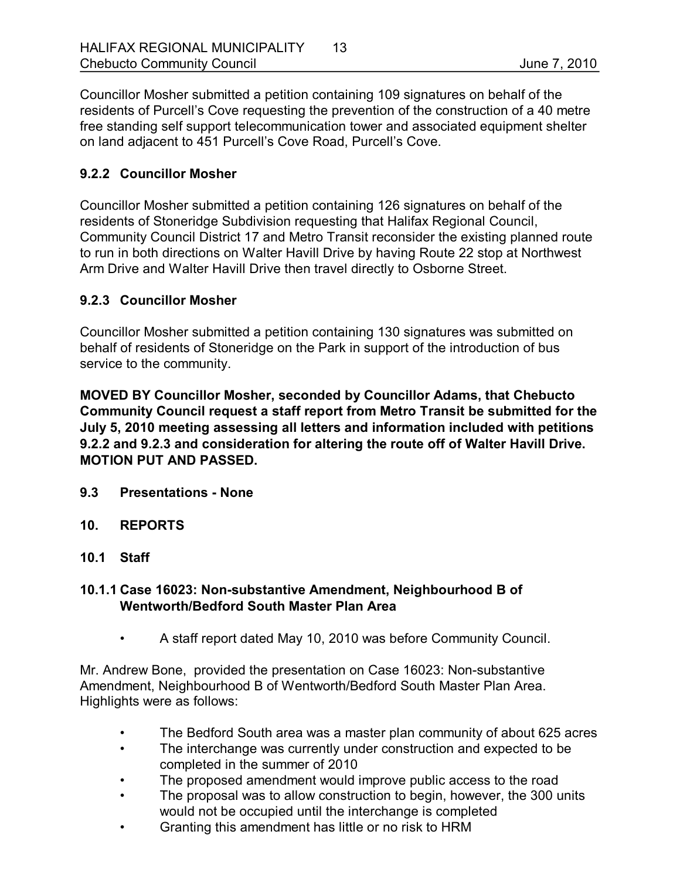Councillor Mosher submitted a petition containing 109 signatures on behalf of the residents of Purcell's Cove requesting the prevention of the construction of a 40 metre free standing self support telecommunication tower and associated equipment shelter on land adjacent to 451 Purcell's Cove Road, Purcell's Cove.

## **9.2.2 Councillor Mosher**

Councillor Mosher submitted a petition containing 126 signatures on behalf of the residents of Stoneridge Subdivision requesting that Halifax Regional Council, Community Council District 17 and Metro Transit reconsider the existing planned route to run in both directions on Walter Havill Drive by having Route 22 stop at Northwest Arm Drive and Walter Havill Drive then travel directly to Osborne Street.

#### **9.2.3 Councillor Mosher**

Councillor Mosher submitted a petition containing 130 signatures was submitted on behalf of residents of Stoneridge on the Park in support of the introduction of bus service to the community.

**MOVED BY Councillor Mosher, seconded by Councillor Adams, that Chebucto Community Council request a staff report from Metro Transit be submitted for the July 5, 2010 meeting assessing all letters and information included with petitions 9.2.2 and 9.2.3 and consideration for altering the route off of Walter Havill Drive. MOTION PUT AND PASSED.** 

- **9.3 Presentations None**
- **10. REPORTS**
- **10.1 Staff**

## 10.1.1 Case 16023: Non-substantive Amendment, Neighbourhood B of **Wentworth/Bedford South Master Plan Area**

• A staff report dated May 10, 2010 was before Community Council.

Mr. Andrew Bone, provided the presentation on Case 16023: Non-substantive Amendment, Neighbourhood B of Wentworth/Bedford South Master Plan Area. Highlights were as follows:

- The Bedford South area was a master plan community of about 625 acres
- The interchange was currently under construction and expected to be completed in the summer of 2010
- The proposed amendment would improve public access to the road
- The proposal was to allow construction to begin, however, the 300 units would not be occupied until the interchange is completed
- Granting this amendment has little or no risk to HRM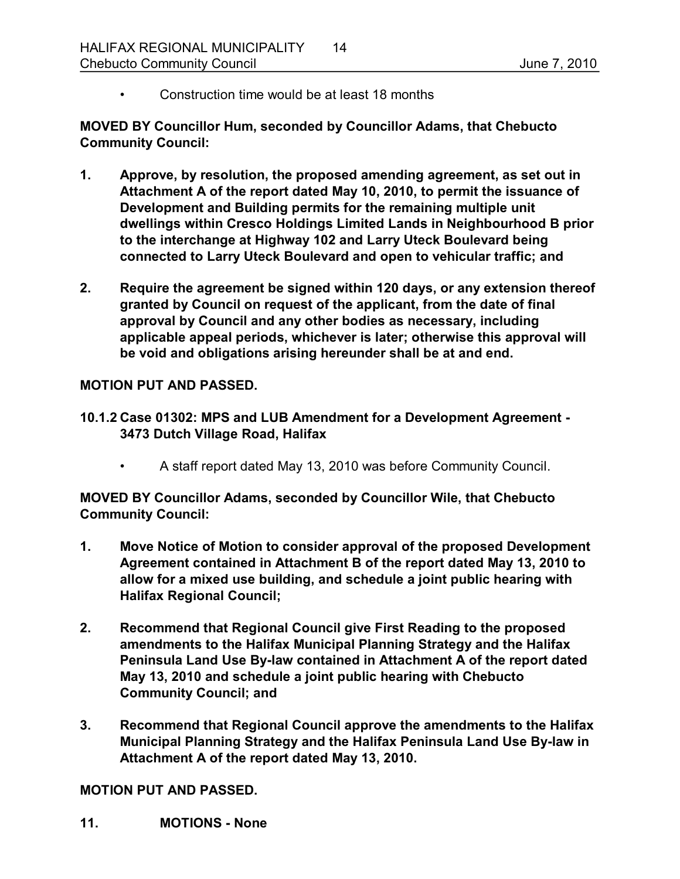• Construction time would be at least 18 months

**MOVED BY Councillor Hum, seconded by Councillor Adams, that Chebucto Community Council:**

- **1. Approve, by resolution, the proposed amending agreement, as set out in Attachment A of the report dated May 10, 2010, to permit the issuance of Development and Building permits for the remaining multiple unit dwellings within Cresco Holdings Limited Lands in Neighbourhood B prior to the interchange at Highway 102 and Larry Uteck Boulevard being connected to Larry Uteck Boulevard and open to vehicular traffic; and**
- **2. Require the agreement be signed within 120 days, or any extension thereof granted by Council on request of the applicant, from the date of final approval by Council and any other bodies as necessary, including applicable appeal periods, whichever is later; otherwise this approval will be void and obligations arising hereunder shall be at and end.**

#### **MOTION PUT AND PASSED.**

- **10.1.2 Case 01302: MPS and LUB Amendment for a Development Agreement 3473 Dutch Village Road, Halifax**
	- A staff report dated May 13, 2010 was before Community Council.

**MOVED BY Councillor Adams, seconded by Councillor Wile, that Chebucto Community Council:**

- **1. Move Notice of Motion to consider approval of the proposed Development Agreement contained in Attachment B of the report dated May 13, 2010 to allow for a mixed use building, and schedule a joint public hearing with Halifax Regional Council;**
- **2. Recommend that Regional Council give First Reading to the proposed amendments to the Halifax Municipal Planning Strategy and the Halifax Peninsula Land Use By-law contained in Attachment A of the report dated May 13, 2010 and schedule a joint public hearing with Chebucto Community Council; and**
- **3. Recommend that Regional Council approve the amendments to the Halifax Municipal Planning Strategy and the Halifax Peninsula Land Use By-law in Attachment A of the report dated May 13, 2010.**

**MOTION PUT AND PASSED.** 

**11. MOTIONS None**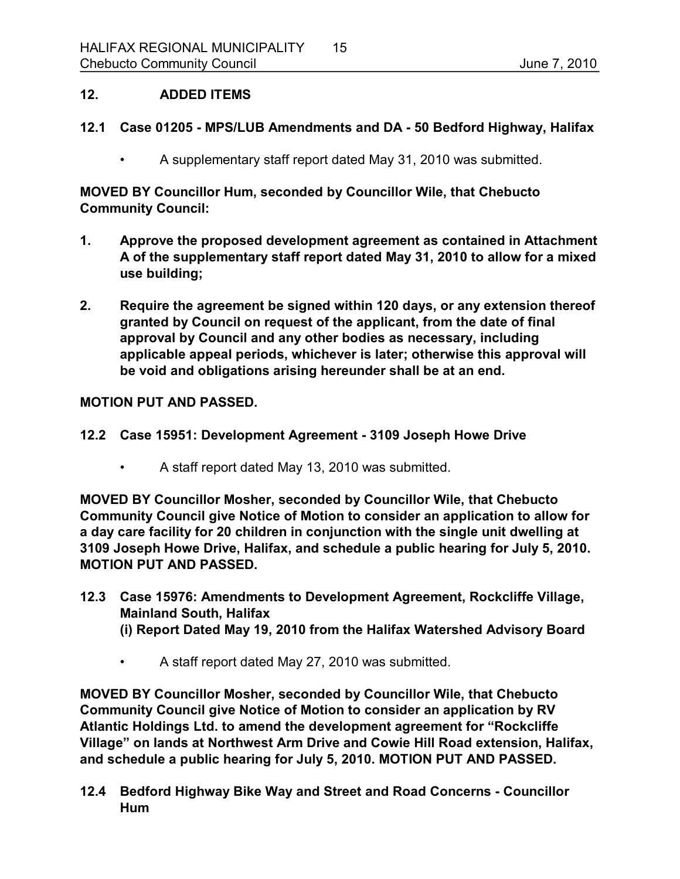#### **12. ADDED ITEMS**

#### **12.1 Case 01205 MPS/LUB Amendments and DA 50 Bedford Highway, Halifax**

• A supplementary staff report dated May 31, 2010 was submitted.

**MOVED BY Councillor Hum, seconded by Councillor Wile, that Chebucto Community Council:**

- **1. Approve the proposed development agreement as contained in Attachment A of the supplementary staff report dated May 31, 2010 to allow for a mixed use building;**
- **2. Require the agreement be signed within 120 days, or any extension thereof granted by Council on request of the applicant, from the date of final approval by Council and any other bodies as necessary, including applicable appeal periods, whichever is later; otherwise this approval will be void and obligations arising hereunder shall be at an end.**

#### **MOTION PUT AND PASSED.**

- **12.2 Case 15951: Development Agreement 3109 Joseph Howe Drive**
	- A staff report dated May 13, 2010 was submitted.

**MOVED BY Councillor Mosher, seconded by Councillor Wile, that Chebucto Community Council give Notice of Motion to consider an application to allow for a day care facility for 20 children in conjunction with the single unit dwelling at 3109 Joseph Howe Drive, Halifax, and schedule a public hearing for July 5, 2010. MOTION PUT AND PASSED.** 

- **12.3 Case 15976: Amendments to Development Agreement, Rockcliffe Village, Mainland South, Halifax (i) Report Dated May 19, 2010 from the Halifax Watershed Advisory Board**
	- A staff report dated May 27, 2010 was submitted.

**MOVED BY Councillor Mosher, seconded by Councillor Wile, that Chebucto Community Council give Notice of Motion to consider an application by RV Atlantic Holdings Ltd. to amend the development agreement for "Rockcliffe Village" on lands at Northwest Arm Drive and Cowie Hill Road extension, Halifax, and schedule a public hearing for July 5, 2010. MOTION PUT AND PASSED.** 

**12.4 Bedford Highway Bike Way and Street and Road Concerns Councillor Hum**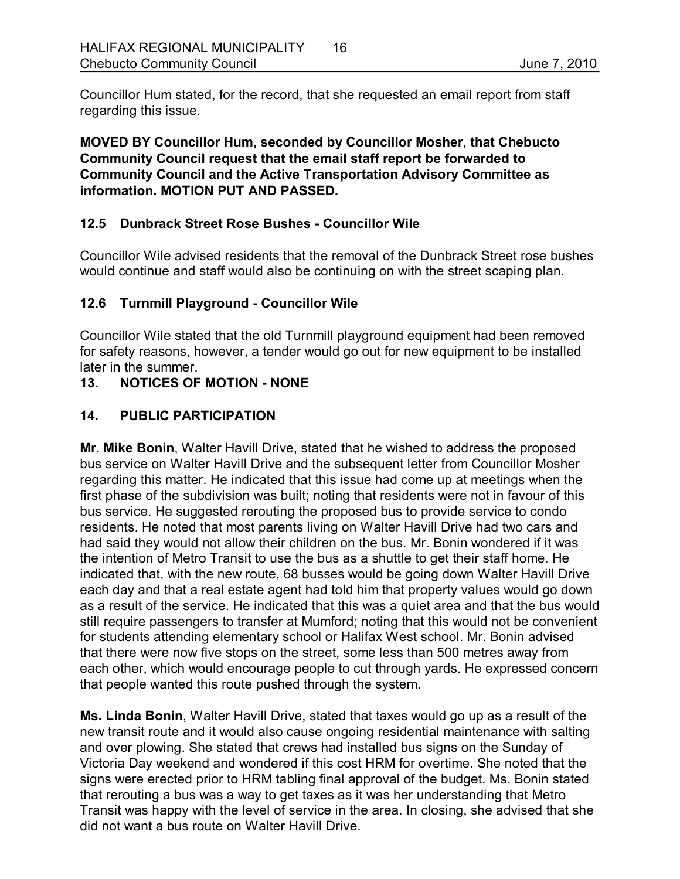Councillor Hum stated, for the record, that she requested an email report from staff regarding this issue.

**MOVED BY Councillor Hum, seconded by Councillor Mosher, that Chebucto Community Council request that the email staff report be forwarded to Community Council and the Active Transportation Advisory Committee as information. MOTION PUT AND PASSED.** 

# **12.5 Dunbrack Street Rose Bushes Councillor Wile**

Councillor Wile advised residents that the removal of the Dunbrack Street rose bushes would continue and staff would also be continuing on with the street scaping plan.

# **12.6 Turnmill Playground Councillor Wile**

Councillor Wile stated that the old Turnmill playground equipment had been removed for safety reasons, however, a tender would go out for new equipment to be installed later in the summer.

# 13. NOTICES OF MOTION - NONE

## **14. PUBLIC PARTICIPATION**

**Mr. Mike Bonin**, Walter Havill Drive, stated that he wished to address the proposed bus service on Walter Havill Drive and the subsequent letter from Councillor Mosher regarding this matter. He indicated that this issue had come up at meetings when the first phase of the subdivision was built; noting that residents were not in favour of this bus service. He suggested rerouting the proposed bus to provide service to condo residents. He noted that most parents living on Walter Havill Drive had two cars and had said they would not allow their children on the bus. Mr. Bonin wondered if it was the intention of Metro Transit to use the bus as a shuttle to get their staff home. He indicated that, with the new route, 68 busses would be going down Walter Havill Drive each day and that a real estate agent had told him that property values would go down as a result of the service. He indicated that this was a quiet area and that the bus would still require passengers to transfer at Mumford; noting that this would not be convenient for students attending elementary school or Halifax West school. Mr. Bonin advised that there were now five stops on the street, some less than 500 metres away from each other, which would encourage people to cut through yards. He expressed concern that people wanted this route pushed through the system.

**Ms. Linda Bonin**, Walter Havill Drive, stated that taxes would go up as a result of the new transit route and it would also cause ongoing residential maintenance with salting and over plowing. She stated that crews had installed bus signs on the Sunday of Victoria Day weekend and wondered if this cost HRM for overtime. She noted that the signs were erected prior to HRM tabling final approval of the budget. Ms. Bonin stated that rerouting a bus was a way to get taxes as it was her understanding that Metro Transit was happy with the level of service in the area. In closing, she advised that she did not want a bus route on Walter Havill Drive.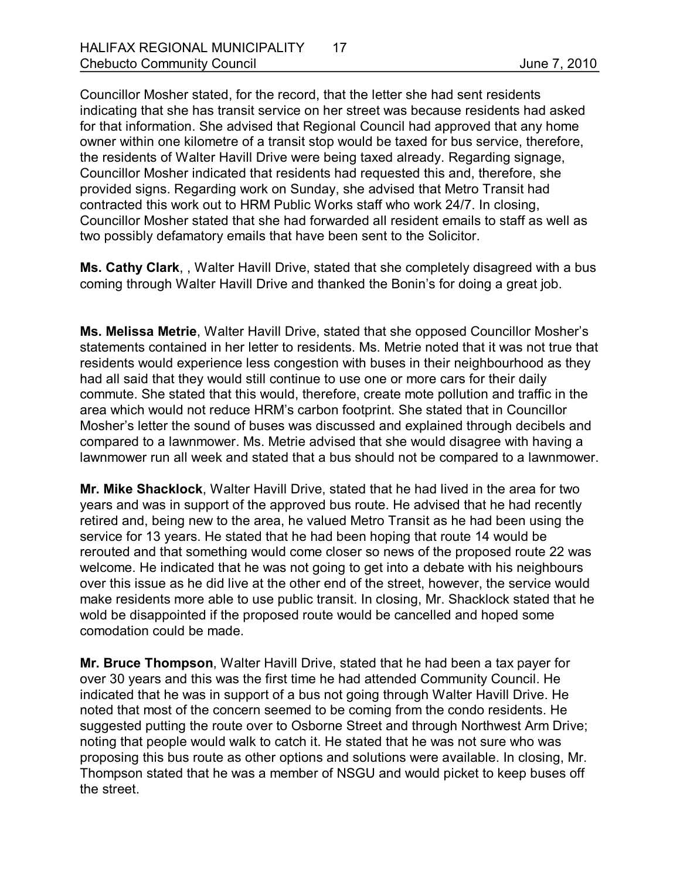Councillor Mosher stated, for the record, that the letter she had sent residents indicating that she has transit service on her street was because residents had asked for that information. She advised that Regional Council had approved that any home owner within one kilometre of a transit stop would be taxed for bus service, therefore, the residents of Walter Havill Drive were being taxed already. Regarding signage, Councillor Mosher indicated that residents had requested this and, therefore, she provided signs. Regarding work on Sunday, she advised that Metro Transit had contracted this work out to HRM Public Works staff who work 24/7. In closing, Councillor Mosher stated that she had forwarded all resident emails to staff as well as two possibly defamatory emails that have been sent to the Solicitor.

**Ms. Cathy Clark**, , Walter Havill Drive, stated that she completely disagreed with a bus coming through Walter Havill Drive and thanked the Bonin's for doing a great job.

**Ms. Melissa Metrie**, Walter Havill Drive, stated that she opposed Councillor Mosher's statements contained in her letter to residents. Ms. Metrie noted that it was not true that residents would experience less congestion with buses in their neighbourhood as they had all said that they would still continue to use one or more cars for their daily commute. She stated that this would, therefore, create mote pollution and traffic in the area which would not reduce HRM's carbon footprint. She stated that in Councillor Mosher's letter the sound of buses was discussed and explained through decibels and compared to a lawnmower. Ms. Metrie advised that she would disagree with having a lawnmower run all week and stated that a bus should not be compared to a lawnmower.

**Mr. Mike Shacklock**, Walter Havill Drive, stated that he had lived in the area for two years and was in support of the approved bus route. He advised that he had recently retired and, being new to the area, he valued Metro Transit as he had been using the service for 13 years. He stated that he had been hoping that route 14 would be rerouted and that something would come closer so news of the proposed route 22 was welcome. He indicated that he was not going to get into a debate with his neighbours over this issue as he did live at the other end of the street, however, the service would make residents more able to use public transit. In closing, Mr. Shacklock stated that he wold be disappointed if the proposed route would be cancelled and hoped some comodation could be made.

**Mr. Bruce Thompson**, Walter Havill Drive, stated that he had been a tax payer for over 30 years and this was the first time he had attended Community Council. He indicated that he was in support of a bus not going through Walter Havill Drive. He noted that most of the concern seemed to be coming from the condo residents. He suggested putting the route over to Osborne Street and through Northwest Arm Drive; noting that people would walk to catch it. He stated that he was not sure who was proposing this bus route as other options and solutions were available. In closing, Mr. Thompson stated that he was a member of NSGU and would picket to keep buses off the street.